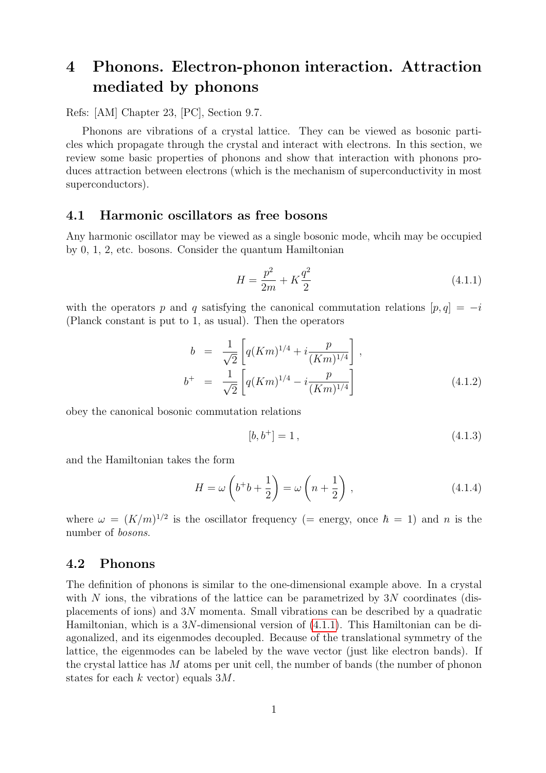# 4 Phonons. Electron-phonon interaction. Attraction mediated by phonons

Refs: [AM] Chapter 23, [PC], Section 9.7.

Phonons are vibrations of a crystal lattice. They can be viewed as bosonic particles which propagate through the crystal and interact with electrons. In this section, we review some basic properties of phonons and show that interaction with phonons produces attraction between electrons (which is the mechanism of superconductivity in most superconductors).

#### 4.1 Harmonic oscillators as free bosons

Any harmonic oscillator may be viewed as a single bosonic mode, whcih may be occupied by 0, 1, 2, etc. bosons. Consider the quantum Hamiltonian

<span id="page-0-0"></span>
$$
H = \frac{p^2}{2m} + K\frac{q^2}{2}
$$
\n(4.1.1)

with the operators p and q satisfying the canonical commutation relations  $[p, q] = -i$ (Planck constant is put to 1, as usual). Then the operators

$$
b = \frac{1}{\sqrt{2}} \left[ q(Km)^{1/4} + i \frac{p}{(Km)^{1/4}} \right],
$$
  
\n
$$
b^{+} = \frac{1}{\sqrt{2}} \left[ q(Km)^{1/4} - i \frac{p}{(Km)^{1/4}} \right]
$$
\n(4.1.2)

obey the canonical bosonic commutation relations

$$
[b, b^+] = 1, \t\t(4.1.3)
$$

and the Hamiltonian takes the form

$$
H = \omega \left( b^+ b + \frac{1}{2} \right) = \omega \left( n + \frac{1}{2} \right), \qquad (4.1.4)
$$

where  $\omega = (K/m)^{1/2}$  is the oscillator frequency (= energy, once  $\hbar = 1$ ) and n is the number of bosons.

## 4.2 Phonons

The definition of phonons is similar to the one-dimensional example above. In a crystal with N ions, the vibrations of the lattice can be parametrized by  $3N$  coordinates (displacements of ions) and 3N momenta. Small vibrations can be described by a quadratic Hamiltonian, which is a 3N-dimensional version of [\(4.1.1\)](#page-0-0). This Hamiltonian can be diagonalized, and its eigenmodes decoupled. Because of the translational symmetry of the lattice, the eigenmodes can be labeled by the wave vector (just like electron bands). If the crystal lattice has  $M$  atoms per unit cell, the number of bands (the number of phonon states for each k vector) equals  $3M$ .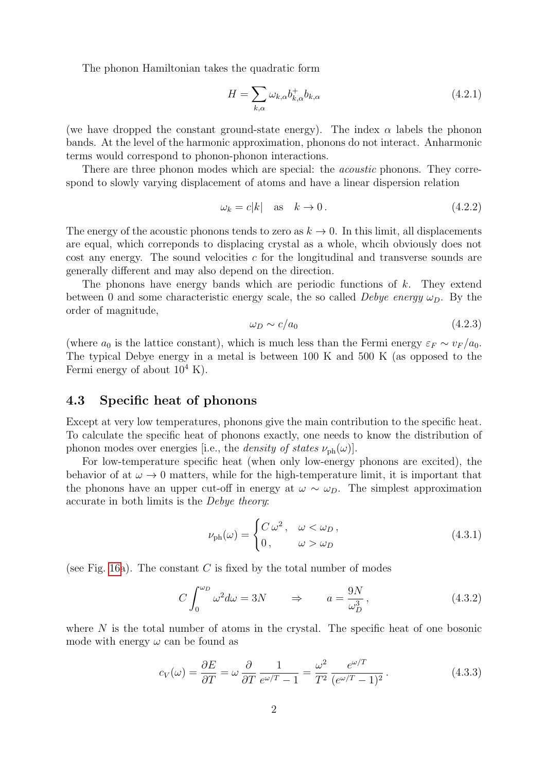The phonon Hamiltonian takes the quadratic form

$$
H = \sum_{k,\alpha} \omega_{k,\alpha} b_{k,\alpha}^+ b_{k,\alpha} \tag{4.2.1}
$$

(we have dropped the constant ground-state energy). The index  $\alpha$  labels the phonon bands. At the level of the harmonic approximation, phonons do not interact. Anharmonic terms would correspond to phonon-phonon interactions.

There are three phonon modes which are special: the *acoustic* phonons. They correspond to slowly varying displacement of atoms and have a linear dispersion relation

$$
\omega_k = c|k| \quad \text{as} \quad k \to 0. \tag{4.2.2}
$$

The energy of the acoustic phonons tends to zero as  $k \to 0$ . In this limit, all displacements are equal, which correponds to displacing crystal as a whole, whcih obviously does not cost any energy. The sound velocities  $c$  for the longitudinal and transverse sounds are generally different and may also depend on the direction.

The phonons have energy bands which are periodic functions of  $k$ . They extend between 0 and some characteristic energy scale, the so called *Debye energy*  $\omega_D$ . By the order of magnitude,

$$
\omega_D \sim c/a_0 \tag{4.2.3}
$$

(where  $a_0$  is the lattice constant), which is much less than the Fermi energy  $\varepsilon_F \sim v_F/a_0$ . The typical Debye energy in a metal is between 100 K and 500 K (as opposed to the Fermi energy of about  $10^4$  K).

#### 4.3 Specific heat of phonons

Except at very low temperatures, phonons give the main contribution to the specific heat. To calculate the specific heat of phonons exactly, one needs to know the distribution of phonon modes over energies [i.e., the *density of states*  $\nu_{\rm ph}(\omega)$ ].

For low-temperature specific heat (when only low-energy phonons are excited), the behavior of at  $\omega \to 0$  matters, while for the high-temperature limit, it is important that the phonons have an upper cut-off in energy at  $\omega \sim \omega_D$ . The simplest approximation accurate in both limits is the Debye theory:

$$
\nu_{\rm ph}(\omega) = \begin{cases} C \omega^2, & \omega < \omega_D, \\ 0, & \omega > \omega_D \end{cases}
$$
 (4.3.1)

(see Fig. [16a](#page-2-0)). The constant  $C$  is fixed by the total number of modes

$$
C \int_0^{\omega_D} \omega^2 d\omega = 3N \qquad \Rightarrow \qquad a = \frac{9N}{\omega_D^3}, \tag{4.3.2}
$$

where  $N$  is the total number of atoms in the crystal. The specific heat of one bosonic mode with energy  $\omega$  can be found as

$$
c_V(\omega) = \frac{\partial E}{\partial T} = \omega \frac{\partial}{\partial T} \frac{1}{e^{\omega/T} - 1} = \frac{\omega^2}{T^2} \frac{e^{\omega/T}}{(e^{\omega/T} - 1)^2}.
$$
 (4.3.3)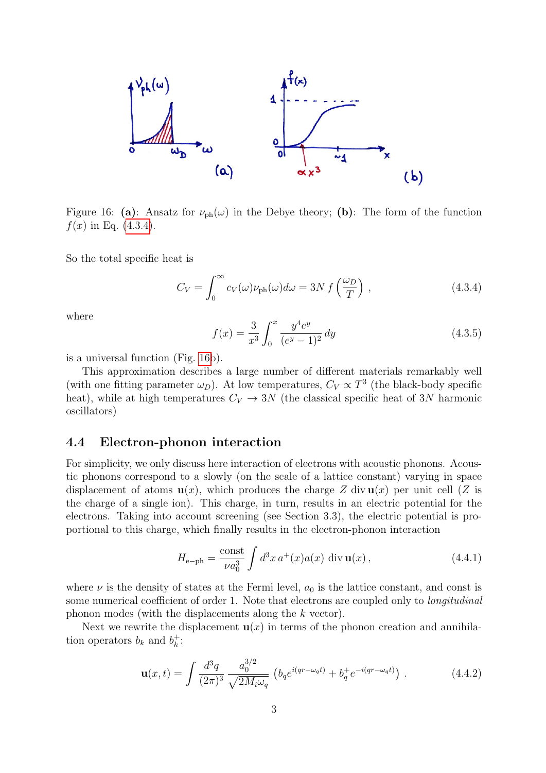<span id="page-2-0"></span>

Figure 16: (a): Ansatz for  $\nu_{ph}(\omega)$  in the Debye theory; (b): The form of the function  $f(x)$  in Eq. [\(4.3.4\)](#page-2-1).

So the total specific heat is

<span id="page-2-1"></span>
$$
C_V = \int_0^\infty c_V(\omega) \nu_{\rm ph}(\omega) d\omega = 3N \, f\left(\frac{\omega_D}{T}\right) \,, \tag{4.3.4}
$$

where

$$
f(x) = \frac{3}{x^3} \int_0^x \frac{y^4 e^y}{(e^y - 1)^2} dy
$$
 (4.3.5)

is a universal function (Fig. [16b](#page-2-0)).

This approximation describes a large number of different materials remarkably well (with one fitting parameter  $\omega_D$ ). At low temperatures,  $C_V \propto T^3$  (the black-body specific heat), while at high temperatures  $C_V \rightarrow 3N$  (the classical specific heat of 3N harmonic oscillators)

### 4.4 Electron-phonon interaction

For simplicity, we only discuss here interaction of electrons with acoustic phonons. Acoustic phonons correspond to a slowly (on the scale of a lattice constant) varying in space displacement of atoms  $\mathbf{u}(x)$ , which produces the charge Z div  $\mathbf{u}(x)$  per unit cell (Z is the charge of a single ion). This charge, in turn, results in an electric potential for the electrons. Taking into account screening (see Section 3.3), the electric potential is proportional to this charge, which finally results in the electron-phonon interaction

<span id="page-2-2"></span>
$$
H_{e-ph} = \frac{\text{const}}{\nu a_0^3} \int d^3x \, a^+(x) a(x) \, \text{div} \, \mathbf{u}(x) \,, \tag{4.4.1}
$$

where  $\nu$  is the density of states at the Fermi level,  $a_0$  is the lattice constant, and const is some numerical coefficient of order 1. Note that electrons are coupled only to *longitudinal* phonon modes (with the displacements along the k vector).

Next we rewrite the displacement  $\mathbf{u}(x)$  in terms of the phonon creation and annihilation operators  $b_k$  and  $b_k^+$  $_k^+$ :

<span id="page-2-3"></span>
$$
\mathbf{u}(x,t) = \int \frac{d^3q}{(2\pi)^3} \frac{a_0^{3/2}}{\sqrt{2M_i\omega_q}} \left( b_q e^{i(qr - \omega_q t)} + b_q^+ e^{-i(qr - \omega_q t)} \right).
$$
 (4.4.2)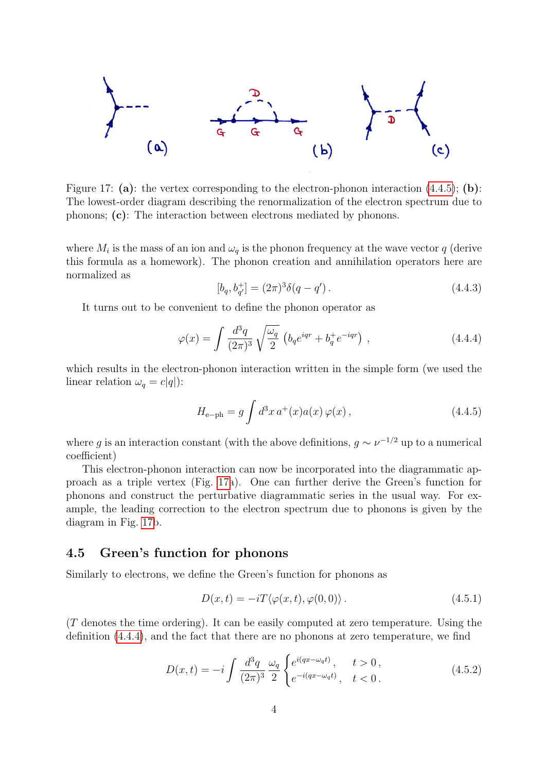<span id="page-3-1"></span>

Figure 17: (a): the vertex corresponding to the electron-phonon interaction [\(4.4.5\)](#page-3-0); (b): The lowest-order diagram describing the renormalization of the electron spectrum due to phonons; (c): The interaction between electrons mediated by phonons.

where  $M_i$  is the mass of an ion and  $\omega_q$  is the phonon frequency at the wave vector q (derive this formula as a homework). The phonon creation and annihilation operators here are normalized as

<span id="page-3-3"></span>
$$
[b_q, b_{q'}^+] = (2\pi)^3 \delta(q - q'). \qquad (4.4.3)
$$

It turns out to be convenient to define the phonon operator as

<span id="page-3-2"></span>
$$
\varphi(x) = \int \frac{d^3q}{(2\pi)^3} \sqrt{\frac{\omega_q}{2}} \left( b_q e^{iqr} + b_q^+ e^{-iqr} \right) , \qquad (4.4.4)
$$

which results in the electron-phonon interaction written in the simple form (we used the linear relation  $\omega_q = c|q|$ :

<span id="page-3-0"></span>
$$
H_{e-ph} = g \int d^3x \, a^+(x) a(x) \, \varphi(x) \,, \tag{4.4.5}
$$

where g is an interaction constant (with the above definitions,  $g \sim \nu^{-1/2}$  up to a numerical coefficient)

This electron-phonon interaction can now be incorporated into the diagrammatic approach as a triple vertex (Fig. [17a](#page-3-1)). One can further derive the Green's function for phonons and construct the perturbative diagrammatic series in the usual way. For example, the leading correction to the electron spectrum due to phonons is given by the diagram in Fig. [17b](#page-3-1).

#### 4.5 Green's function for phonons

Similarly to electrons, we define the Green's function for phonons as

$$
D(x,t) = -i T \langle \varphi(x,t), \varphi(0,0) \rangle. \tag{4.5.1}
$$

(T denotes the time ordering). It can be easily computed at zero temperature. Using the definition [\(4.4.4\)](#page-3-2), and the fact that there are no phonons at zero temperature, we find

$$
D(x,t) = -i \int \frac{d^3q}{(2\pi)^3} \frac{\omega_q}{2} \begin{cases} e^{i(qx-\omega_q t)}, & t > 0, \\ e^{-i(qx-\omega_q t)}, & t < 0. \end{cases} \tag{4.5.2}
$$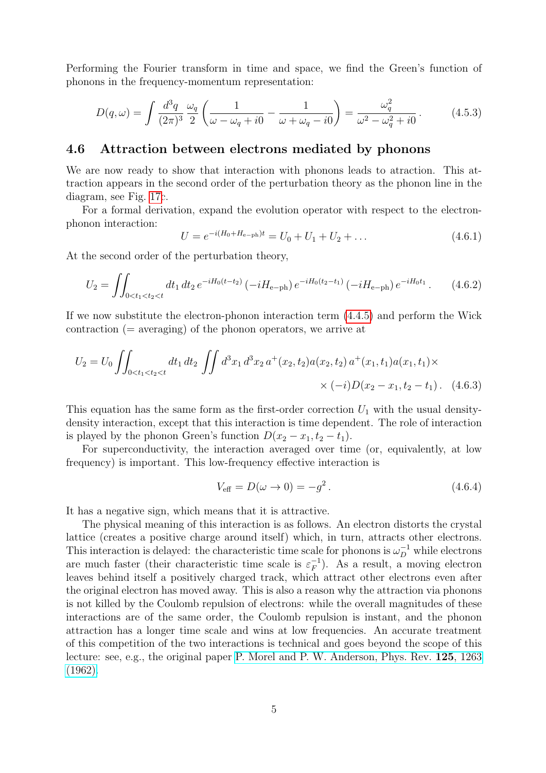Performing the Fourier transform in time and space, we find the Green's function of phonons in the frequency-momentum representation:

$$
D(q,\omega) = \int \frac{d^3q}{(2\pi)^3} \frac{\omega_q}{2} \left( \frac{1}{\omega - \omega_q + i0} - \frac{1}{\omega + \omega_q - i0} \right) = \frac{\omega_q^2}{\omega^2 - \omega_q^2 + i0} \,. \tag{4.5.3}
$$

#### 4.6 Attraction between electrons mediated by phonons

We are now ready to show that interaction with phonons leads to atraction. This attraction appears in the second order of the perturbation theory as the phonon line in the diagram, see Fig. [17c](#page-3-1).

For a formal derivation, expand the evolution operator with respect to the electronphonon interaction:

$$
U = e^{-i(H_0 + H_{e-ph})t} = U_0 + U_1 + U_2 + \dots
$$
\n(4.6.1)

At the second order of the perturbation theory,

$$
U_2 = \iint_{0 < t_1 < t_2 < t} dt_1 dt_2 e^{-iH_0(t - t_2)} \left( -iH_{e-ph} \right) e^{-iH_0(t_2 - t_1)} \left( -iH_{e-ph} \right) e^{-iH_0t_1} . \tag{4.6.2}
$$

If we now substitute the electron-phonon interaction term [\(4.4.5\)](#page-3-0) and perform the Wick  $\alpha$  contraction (= averaging) of the phonon operators, we arrive at

$$
U_2 = U_0 \iint_{0 < t_1 < t_2 < t} dt_1 dt_2 \iint d^3x_1 d^3x_2 a^+(x_2, t_2) a(x_2, t_2) a^+(x_1, t_1) a(x_1, t_1) \times \times (-i) D(x_2 - x_1, t_2 - t_1). \tag{4.6.3}
$$

This equation has the same form as the first-order correction  $U_1$  with the usual densitydensity interaction, except that this interaction is time dependent. The role of interaction is played by the phonon Green's function  $D(x_2 - x_1, t_2 - t_1)$ .

For superconductivity, the interaction averaged over time (or, equivalently, at low frequency) is important. This low-frequency effective interaction is

$$
V_{\text{eff}} = D(\omega \to 0) = -g^2. \tag{4.6.4}
$$

It has a negative sign, which means that it is attractive.

The physical meaning of this interaction is as follows. An electron distorts the crystal lattice (creates a positive charge around itself) which, in turn, attracts other electrons. This interaction is delayed: the characteristic time scale for phonons is  $\omega_D^{-1}$  while electrons are much faster (their characteristic time scale is  $\varepsilon_F^{-1}$  $\bar{F}^{1}_{F}$ ). As a result, a moving electron leaves behind itself a positively charged track, which attract other electrons even after the original electron has moved away. This is also a reason why the attraction via phonons is not killed by the Coulomb repulsion of electrons: while the overall magnitudes of these interactions are of the same order, the Coulomb repulsion is instant, and the phonon attraction has a longer time scale and wins at low frequencies. An accurate treatment of this competition of the two interactions is technical and goes beyond the scope of this lecture: see, e.g., the original paper [P. Morel and P. W. Anderson, Phys. Rev.](http://prola.aps.org/abstract/PR/v125/i4/p1263_1) 125, 1263 [\(1962\).](http://prola.aps.org/abstract/PR/v125/i4/p1263_1)